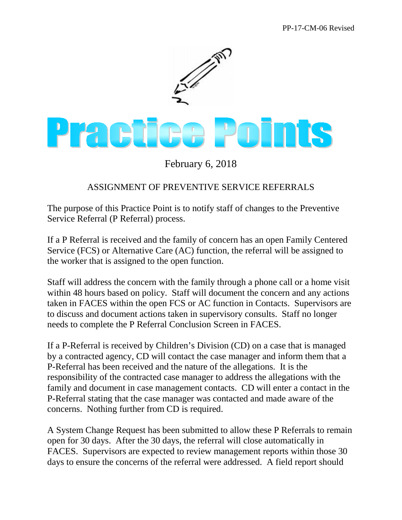

February 6, 2018

## ASSIGNMENT OF PREVENTIVE SERVICE REFERRALS

The purpose of this Practice Point is to notify staff of changes to the Preventive Service Referral (P Referral) process.

If a P Referral is received and the family of concern has an open Family Centered Service (FCS) or Alternative Care (AC) function, the referral will be assigned to the worker that is assigned to the open function.

Staff will address the concern with the family through a phone call or a home visit within 48 hours based on policy. Staff will document the concern and any actions taken in FACES within the open FCS or AC function in Contacts. Supervisors are to discuss and document actions taken in supervisory consults. Staff no longer needs to complete the P Referral Conclusion Screen in FACES.

If a P-Referral is received by Children's Division (CD) on a case that is managed by a contracted agency, CD will contact the case manager and inform them that a P-Referral has been received and the nature of the allegations. It is the responsibility of the contracted case manager to address the allegations with the family and document in case management contacts. CD will enter a contact in the P-Referral stating that the case manager was contacted and made aware of the concerns. Nothing further from CD is required.

A System Change Request has been submitted to allow these P Referrals to remain open for 30 days. After the 30 days, the referral will close automatically in FACES. Supervisors are expected to review management reports within those 30 days to ensure the concerns of the referral were addressed. A field report should